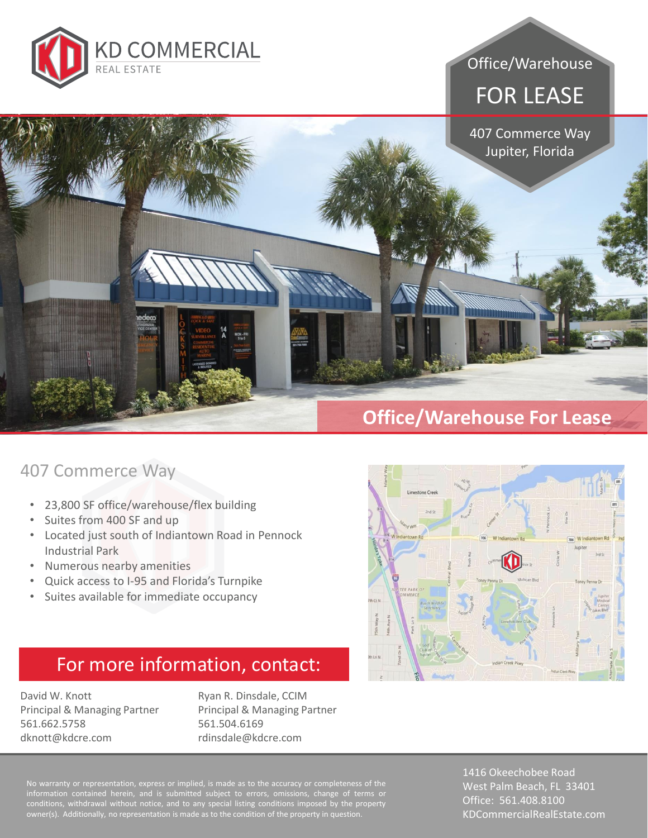

#### Office/Warehouse

# FOR LEASE

407 Commerce Way Jupiter, Florida

### **Office/Warehouse For Lease**

#### 407 Commerce Way

- 23,800 SF office/warehouse/flex building
- Suites from 400 SF and up
- Located just south of Indiantown Road in Pennock Industrial Park
- Numerous nearby amenities
- Quick access to I-95 and Florida's Turnpike
- Suites available for immediate occupancy

## For more information, contact:

David W. Knott Principal & Managing Partner 561.662.5758 dknott@kdcre.com

Ryan R. Dinsdale, CCIM Principal & Managing Partner 561.504.6169 rdinsdale@kdcre.com

information contained herein, and is submitted subject to errors, omissions, change of terms or conditions, withdrawal without notice, and to any special listing conditions imposed by the property owner(s). Additionally, no representation is made as to the condition of the property in question.

1416 Okeechobee Road West Palm Beach, FL 33401 Office: 561.408.8100 KDCommercialRealEstate.com

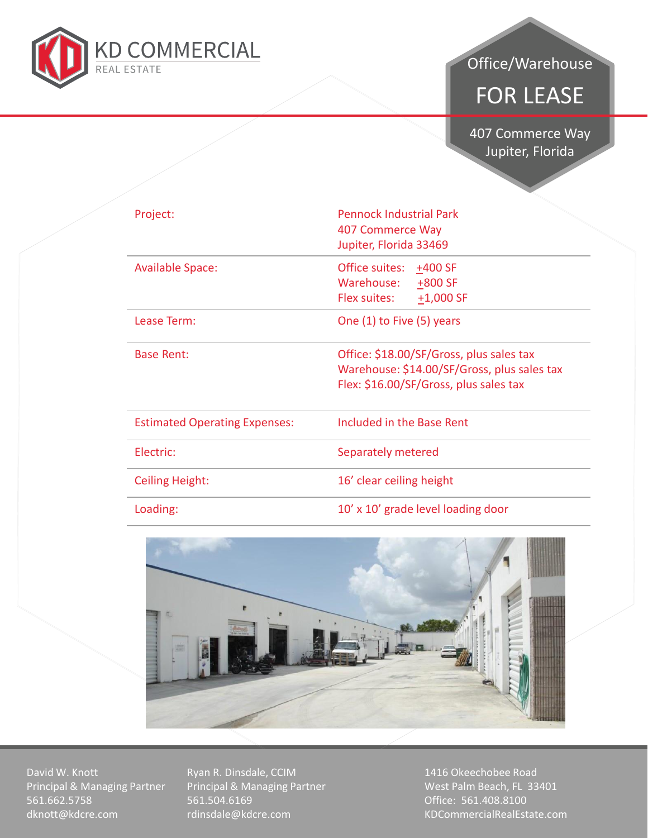

### Office/Warehouse

# FOR LEASE

407 Commerce Way<br>Duniter Florida Jupiter, Florida

| Project:                             | <b>Pennock Industrial Park</b><br>407 Commerce Way<br>Jupiter, Florida 33469                                                      |
|--------------------------------------|-----------------------------------------------------------------------------------------------------------------------------------|
| <b>Available Space:</b>              | Office suites:<br>$±400$ SF<br>Warehouse:<br>$+800$ SF<br>Flex suites:<br>$+1,000$ SF                                             |
| Lease Term:                          | One (1) to Five (5) years                                                                                                         |
| Base Rent:                           | Office: \$18.00/SF/Gross, plus sales tax<br>Warehouse: \$14.00/SF/Gross, plus sales tax<br>Flex: \$16.00/SF/Gross, plus sales tax |
| <b>Estimated Operating Expenses:</b> | Included in the Base Rent                                                                                                         |
| Electric:                            | Separately metered                                                                                                                |
| <b>Ceiling Height:</b>               | 16' clear ceiling height                                                                                                          |
| Loading:                             | 10' x 10' grade level loading door                                                                                                |



David W. Knott Principal & Managing Partner 561.662.5758 dknott@kdcre.com

Ryan R. Dinsdale, CCIM Principal & Managing Partner 561.504.6169 rdinsdale@kdcre.com

1416 Okeechobee Road West Palm Beach, FL 33401 Office: 561.408.8100 KDCommercialRealEstate.com